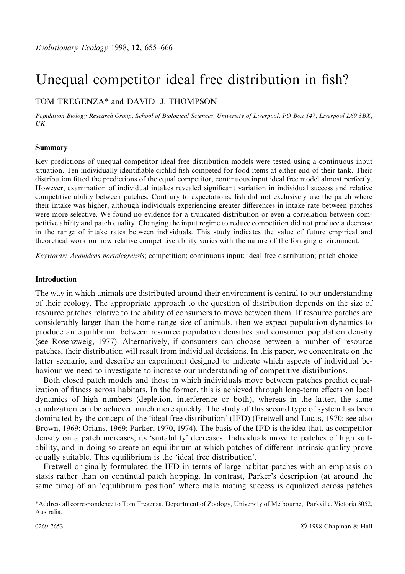# Unequal competitor ideal free distribution in fish?

# TOM TREGENZA\* and DAVID J. THOMPSON

Population Biology Research Group, School of Biological Sciences, University of Liverpool, PO Box 147, Liverpool L69 3BX, UK

#### Summary

Key predictions of unequal competitor ideal free distribution models were tested using a continuous input situation. Ten individually identifiable cichlid fish competed for food items at either end of their tank. Their distribution fitted the predictions of the equal competitor, continuous input ideal free model almost perfectly. However, examination of individual intakes revealed significant variation in individual success and relative competitive ability between patches. Contrary to expectations, fish did not exclusively use the patch where their intake was higher, although individuals experiencing greater differences in intake rate between patches were more selective. We found no evidence for a truncated distribution or even a correlation between competitive ability and patch quality. Changing the input regime to reduce competition did not produce a decrease in the range of intake rates between individuals. This study indicates the value of future empirical and theoretical work on how relative competitive ability varies with the nature of the foraging environment.

Keywords: Aequidens portalegrensis; competition; continuous input; ideal free distribution; patch choice

### Introduction

The way in which animals are distributed around their environment is central to our understanding of their ecology. The appropriate approach to the question of distribution depends on the size of resource patches relative to the ability of consumers to move between them. If resource patches are considerably larger than the home range size of animals, then we expect population dynamics to produce an equilibrium between resource population densities and consumer population density (see Rosenzweig, 1977). Alternatively, if consumers can choose between a number of resource patches, their distribution will result from individual decisions. In this paper, we concentrate on the latter scenario, and describe an experiment designed to indicate which aspects of individual behaviour we need to investigate to increase our understanding of competitive distributions.

Both closed patch models and those in which individuals move between patches predict equalization of fitness across habitats. In the former, this is achieved through long-term effects on local dynamics of high numbers (depletion, interference or both), whereas in the latter, the same equalization can be achieved much more quickly. The study of this second type of system has been dominated by the concept of the `ideal free distribution' (IFD) (Fretwell and Lucas, 1970; see also Brown, 1969; Orians, 1969; Parker, 1970, 1974). The basis of the IFD is the idea that, as competitor density on a patch increases, its 'suitability' decreases. Individuals move to patches of high suitability, and in doing so create an equilibrium at which patches of different intrinsic quality prove equally suitable. This equilibrium is the `ideal free distribution'.

Fretwell originally formulated the IFD in terms of large habitat patches with an emphasis on stasis rather than on continual patch hopping. In contrast, Parker's description (at around the same time) of an 'equilibrium position' where male mating success is equalized across patches

<sup>\*</sup>Address all correspondence to Tom Tregenza, Department of Zoology, University of Melbourne, Parkville, Victoria 3052, Australia.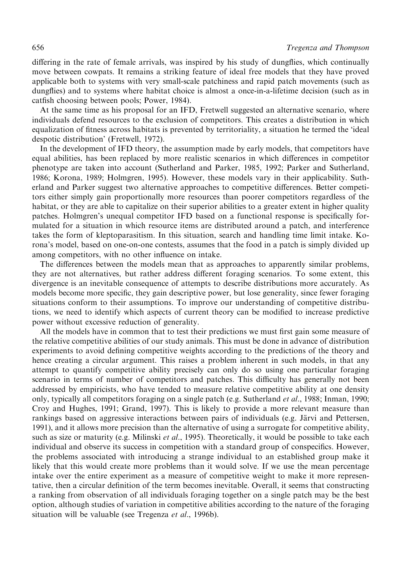differing in the rate of female arrivals, was inspired by his study of dungflies, which continually move between cowpats. It remains a striking feature of ideal free models that they have proved applicable both to systems with very small-scale patchiness and rapid patch movements (such as dungflies) and to systems where habitat choice is almost a once-in-a-lifetime decision (such as in catfish choosing between pools; Power, 1984).

At the same time as his proposal for an IFD, Fretwell suggested an alternative scenario, where individuals defend resources to the exclusion of competitors. This creates a distribution in which equalization of fitness across habitats is prevented by territoriality, a situation he termed the 'ideal despotic distribution' (Fretwell, 1972).

In the development of IFD theory, the assumption made by early models, that competitors have equal abilities, has been replaced by more realistic scenarios in which differences in competitor phenotype are taken into account (Sutherland and Parker, 1985, 1992; Parker and Sutherland, 1986; Korona, 1989; Holmgren, 1995). However, these models vary in their applicability. Sutherland and Parker suggest two alternative approaches to competitive differences. Better competitors either simply gain proportionally more resources than poorer competitors regardless of the habitat, or they are able to capitalize on their superior abilities to a greater extent in higher quality patches. Holmgren's unequal competitor IFD based on a functional response is specifically formulated for a situation in which resource items are distributed around a patch, and interference takes the form of kleptoparasitism. In this situation, search and handling time limit intake. Korona's model, based on one-on-one contests, assumes that the food in a patch is simply divided up among competitors, with no other influence on intake.

The differences between the models mean that as approaches to apparently similar problems, they are not alternatives, but rather address different foraging scenarios. To some extent, this divergence is an inevitable consequence of attempts to describe distributions more accurately. As models become more specific, they gain descriptive power, but lose generality, since fewer foraging situations conform to their assumptions. To improve our understanding of competitive distributions, we need to identify which aspects of current theory can be modified to increase predictive power without excessive reduction of generality.

All the models have in common that to test their predictions we must first gain some measure of the relative competitive abilities of our study animals. This must be done in advance of distribution experiments to avoid defining competitive weights according to the predictions of the theory and hence creating a circular argument. This raises a problem inherent in such models, in that any attempt to quantify competitive ability precisely can only do so using one particular foraging scenario in terms of number of competitors and patches. This difficulty has generally not been addressed by empiricists, who have tended to measure relative competitive ability at one density only, typically all competitors foraging on a single patch (e.g. Sutherland et al., 1988; Inman, 1990; Croy and Hughes, 1991; Grand, 1997). This is likely to provide a more relevant measure than rankings based on aggressive interactions between pairs of individuals (e.g. Järvi and Pettersen, 1991), and it allows more precision than the alternative of using a surrogate for competitive ability, such as size or maturity (e.g. Milinski *et al.*, 1995). Theoretically, it would be possible to take each individual and observe its success in competition with a standard group of conspecifics. However, the problems associated with introducing a strange individual to an established group make it likely that this would create more problems than it would solve. If we use the mean percentage intake over the entire experiment as a measure of competitive weight to make it more representative, then a circular definition of the term becomes inevitable. Overall, it seems that constructing a ranking from observation of all individuals foraging together on a single patch may be the best option, although studies of variation in competitive abilities according to the nature of the foraging situation will be valuable (see Tregenza *et al.*, 1996b).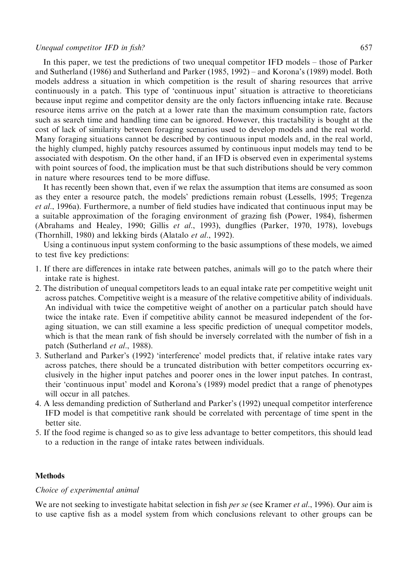### Unequal competitor IFD in fish?  $657$

In this paper, we test the predictions of two unequal competitor  $IFD$  models  $-$  those of Parker and Sutherland (1986) and Sutherland and Parker (1985, 1992) – and Korona's (1989) model. Both models address a situation in which competition is the result of sharing resources that arrive continuously in a patch. This type of `continuous input' situation is attractive to theoreticians because input regime and competitor density are the only factors influencing intake rate. Because resource items arrive on the patch at a lower rate than the maximum consumption rate, factors such as search time and handling time can be ignored. However, this tractability is bought at the cost of lack of similarity between foraging scenarios used to develop models and the real world. Many foraging situations cannot be described by continuous input models and, in the real world, the highly clumped, highly patchy resources assumed by continuous input models may tend to be associated with despotism. On the other hand, if an IFD is observed even in experimental systems with point sources of food, the implication must be that such distributions should be very common in nature where resources tend to be more diffuse.

It has recently been shown that, even if we relax the assumption that items are consumed as soon as they enter a resource patch, the models' predictions remain robust (Lessells, 1995; Tregenza et al., 1996a). Furthermore, a number of field studies have indicated that continuous input may be a suitable approximation of the foraging environment of grazing fish (Power, 1984), fishermen (Abrahams and Healey, 1990; Gillis et al., 1993), dungflies (Parker, 1970, 1978), lovebugs (Thornhill, 1980) and lekking birds (Alatalo et al., 1992).

Using a continuous input system conforming to the basic assumptions of these models, we aimed to test five key predictions:

- 1. If there are differences in intake rate between patches, animals will go to the patch where their intake rate is highest.
- 2. The distribution of unequal competitors leads to an equal intake rate per competitive weight unit across patches. Competitive weight is a measure of the relative competitive ability of individuals. An individual with twice the competitive weight of another on a particular patch should have twice the intake rate. Even if competitive ability cannot be measured independent of the foraging situation, we can still examine a less specific prediction of unequal competitor models, which is that the mean rank of fish should be inversely correlated with the number of fish in a patch (Sutherland *et al.*, 1988).
- 3. Sutherland and Parker's (1992) `interference' model predicts that, if relative intake rates vary across patches, there should be a truncated distribution with better competitors occurring exclusively in the higher input patches and poorer ones in the lower input patches. In contrast, their `continuous input' model and Korona's (1989) model predict that a range of phenotypes will occur in all patches.
- 4. A less demanding prediction of Sutherland and Parker's (1992) unequal competitor interference IFD model is that competitive rank should be correlated with percentage of time spent in the better site.
- 5. If the food regime is changed so as to give less advantage to better competitors, this should lead to a reduction in the range of intake rates between individuals.

## **Methods**

#### Choice of experimental animal

We are not seeking to investigate habitat selection in fish *per se* (see Kramer *et al.*, 1996). Our aim is to use captive fish as a model system from which conclusions relevant to other groups can be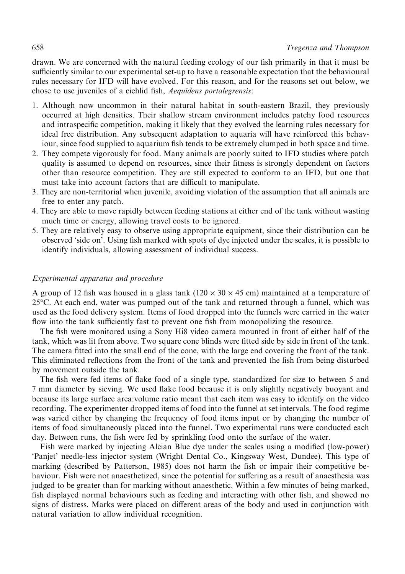drawn. We are concerned with the natural feeding ecology of our fish primarily in that it must be sufficiently similar to our experimental set-up to have a reasonable expectation that the behavioural rules necessary for IFD will have evolved. For this reason, and for the reasons set out below, we chose to use juveniles of a cichlid fish, *Aequidens portalegrensis*:

- 1. Although now uncommon in their natural habitat in south-eastern Brazil, they previously occurred at high densities. Their shallow stream environment includes patchy food resources and intraspecific competition, making it likely that they evolved the learning rules necessary for ideal free distribution. Any subsequent adaptation to aquaria will have reinforced this behaviour, since food supplied to aquarium fish tends to be extremely clumped in both space and time.
- 2. They compete vigorously for food. Many animals are poorly suited to IFD studies where patch quality is assumed to depend on resources, since their fitness is strongly dependent on factors other than resource competition. They are still expected to conform to an IFD, but one that must take into account factors that are difficult to manipulate.
- 3. They are non-territorial when juvenile, avoiding violation of the assumption that all animals are free to enter any patch.
- 4. They are able to move rapidly between feeding stations at either end of the tank without wasting much time or energy, allowing travel costs to be ignored.
- 5. They are relatively easy to observe using appropriate equipment, since their distribution can be observed 'side on'. Using fish marked with spots of dye injected under the scales, it is possible to identify individuals, allowing assessment of individual success.

## Experimental apparatus and procedure

A group of 12 fish was housed in a glass tank ( $120 \times 30 \times 45$  cm) maintained at a temperature of 25°C. At each end, water was pumped out of the tank and returned through a funnel, which was used as the food delivery system. Items of food dropped into the funnels were carried in the water flow into the tank sufficiently fast to prevent one fish from monopolizing the resource.

The fish were monitored using a Sony Hi8 video camera mounted in front of either half of the tank, which was lit from above. Two square cone blinds were fitted side by side in front of the tank. The camera fitted into the small end of the cone, with the large end covering the front of the tank. This eliminated reflections from the front of the tank and prevented the fish from being disturbed by movement outside the tank.

The fish were fed items of flake food of a single type, standardized for size to between 5 and 7 mm diameter by sieving. We used flake food because it is only slightly negatively buoyant and because its large surface area:volume ratio meant that each item was easy to identify on the video recording. The experimenter dropped items of food into the funnel at set intervals. The food regime was varied either by changing the frequency of food items input or by changing the number of items of food simultaneously placed into the funnel. Two experimental runs were conducted each day. Between runs, the fish were fed by sprinkling food onto the surface of the water.

Fish were marked by injecting Alcian Blue dye under the scales using a modified (low-power) `Panjet' needle-less injector system (Wright Dental Co., Kingsway West, Dundee). This type of marking (described by Patterson, 1985) does not harm the fish or impair their competitive behaviour. Fish were not anaesthetized, since the potential for suffering as a result of anaesthesia was judged to be greater than for marking without anaesthetic. Within a few minutes of being marked, fish displayed normal behaviours such as feeding and interacting with other fish, and showed no signs of distress. Marks were placed on different areas of the body and used in conjunction with natural variation to allow individual recognition.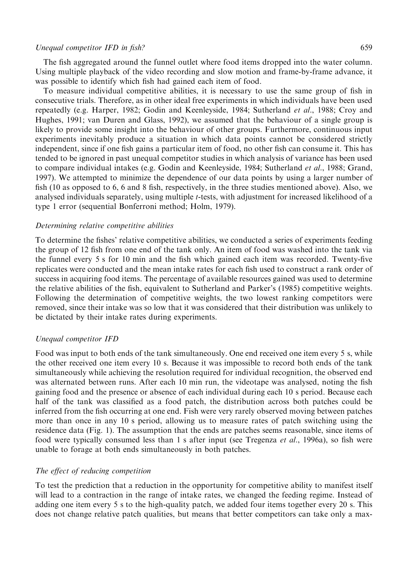## Unequal competitor IFD in fish? 659

The fish aggregated around the funnel outlet where food items dropped into the water column. Using multiple playback of the video recording and slow motion and frame-by-frame advance, it was possible to identify which fish had gained each item of food.

To measure individual competitive abilities, it is necessary to use the same group of fish in consecutive trials. Therefore, as in other ideal free experiments in which individuals have been used repeatedly (e.g. Harper, 1982; Godin and Keenleyside, 1984; Sutherland et al., 1988; Croy and Hughes, 1991; van Duren and Glass, 1992), we assumed that the behaviour of a single group is likely to provide some insight into the behaviour of other groups. Furthermore, continuous input experiments inevitably produce a situation in which data points cannot be considered strictly independent, since if one fish gains a particular item of food, no other fish can consume it. This has tended to be ignored in past unequal competitor studies in which analysis of variance has been used to compare individual intakes (e.g. Godin and Keenleyside, 1984; Sutherland et al., 1988; Grand, 1997). We attempted to minimize the dependence of our data points by using a larger number of fish (10 as opposed to 6, 6 and 8 fish, respectively, in the three studies mentioned above). Also, we analysed individuals separately, using multiple t-tests, with adjustment for increased likelihood of a type 1 error (sequential Bonferroni method; Holm, 1979).

### Determining relative competitive abilities

To determine the fishes' relative competitive abilities, we conducted a series of experiments feeding the group of 12 fish from one end of the tank only. An item of food was washed into the tank via the funnel every 5 s for 10 min and the fish which gained each item was recorded. Twenty-five replicates were conducted and the mean intake rates for each fish used to construct a rank order of success in acquiring food items. The percentage of available resources gained was used to determine the relative abilities of the fish, equivalent to Sutherland and Parker's (1985) competitive weights. Following the determination of competitive weights, the two lowest ranking competitors were removed, since their intake was so low that it was considered that their distribution was unlikely to be dictated by their intake rates during experiments.

## Unequal competitor IFD

Food was input to both ends of the tank simultaneously. One end received one item every 5 s, while the other received one item every 10 s. Because it was impossible to record both ends of the tank simultaneously while achieving the resolution required for individual recognition, the observed end was alternated between runs. After each 10 min run, the videotape was analysed, noting the fish gaining food and the presence or absence of each individual during each 10 s period. Because each half of the tank was classified as a food patch, the distribution across both patches could be inferred from the fish occurring at one end. Fish were very rarely observed moving between patches more than once in any 10 s period, allowing us to measure rates of patch switching using the residence data (Fig. 1). The assumption that the ends are patches seems reasonable, since items of food were typically consumed less than 1 s after input (see Tregenza *et al.*, 1996a), so fish were unable to forage at both ends simultaneously in both patches.

### The effect of reducing competition

To test the prediction that a reduction in the opportunity for competitive ability to manifest itself will lead to a contraction in the range of intake rates, we changed the feeding regime. Instead of adding one item every 5 s to the high-quality patch, we added four items together every 20 s. This does not change relative patch qualities, but means that better competitors can take only a max-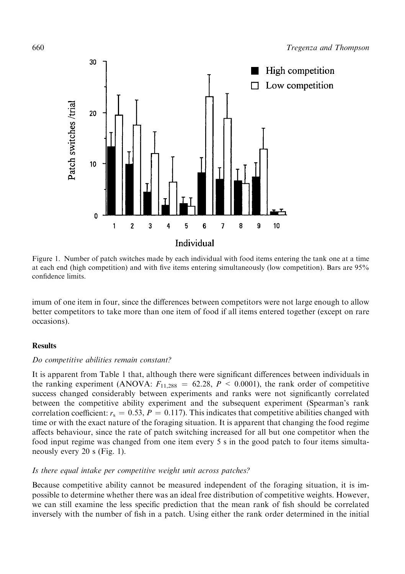

Figure 1. Number of patch switches made by each individual with food items entering the tank one at a time at each end (high competition) and with five items entering simultaneously (low competition). Bars are 95% confidence limits.

imum of one item in four, since the differences between competitors were not large enough to allow better competitors to take more than one item of food if all items entered together (except on rare occasions).

## **Results**

## Do competitive abilities remain constant?

It is apparent from Table 1 that, although there were significant differences between individuals in the ranking experiment (ANOVA:  $F_{11,288} = 62.28$ ,  $P < 0.0001$ ), the rank order of competitive success changed considerably between experiments and ranks were not significantly correlated between the competitive ability experiment and the subsequent experiment (Spearman's rank correlation coefficient:  $r_s = 0.53$ ,  $P = 0.117$ ). This indicates that competitive abilities changed with time or with the exact nature of the foraging situation. It is apparent that changing the food regime affects behaviour, since the rate of patch switching increased for all but one competitor when the food input regime was changed from one item every 5 s in the good patch to four items simultaneously every 20 s (Fig. 1).

## Is there equal intake per competitive weight unit across patches?

Because competitive ability cannot be measured independent of the foraging situation, it is impossible to determine whether there was an ideal free distribution of competitive weights. However, we can still examine the less specific prediction that the mean rank of fish should be correlated inversely with the number of fish in a patch. Using either the rank order determined in the initial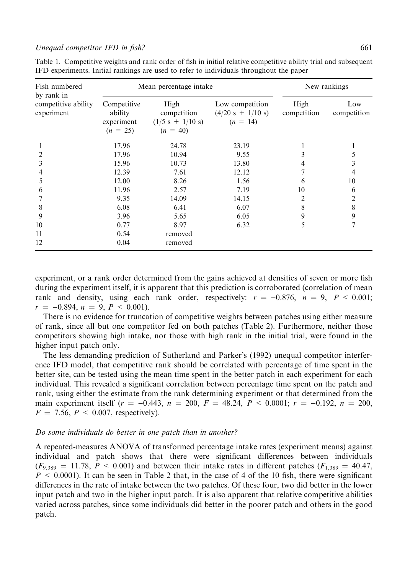#### Unequal competitor IFD in fish?  $661$

| Fish numbered                                   | Mean percentage intake                             |                                                         |                                                      | New rankings        |                    |
|-------------------------------------------------|----------------------------------------------------|---------------------------------------------------------|------------------------------------------------------|---------------------|--------------------|
| by rank in<br>competitive ability<br>experiment | Competitive<br>ability<br>experiment<br>$(n = 25)$ | High<br>competition<br>$(1/5 s + 1/10 s)$<br>$(n = 40)$ | Low competition<br>$(4/20 s + 1/10 s)$<br>$(n = 14)$ | High<br>competition | Low<br>competition |
|                                                 | 17.96                                              | 24.78                                                   | 23.19                                                |                     |                    |
| 2                                               | 17.96                                              | 10.94                                                   | 9.55                                                 | 3                   | 5                  |
| 3                                               | 15.96                                              | 10.73                                                   | 13.80                                                | 4                   | 3                  |
| 4                                               | 12.39                                              | 7.61                                                    | 12.12                                                |                     | 4                  |
| 5                                               | 12.00                                              | 8.26                                                    | 1.56                                                 | 6                   | 10                 |
| 6                                               | 11.96                                              | 2.57                                                    | 7.19                                                 | 10                  | 6                  |
|                                                 | 9.35                                               | 14.09                                                   | 14.15                                                | 2                   | 2                  |
| 8                                               | 6.08                                               | 6.41                                                    | 6.07                                                 | 8                   | 8                  |
| 9                                               | 3.96                                               | 5.65                                                    | 6.05                                                 | 9                   | 9                  |
| 10                                              | 0.77                                               | 8.97                                                    | 6.32                                                 | 5                   | 7                  |
| 11                                              | 0.54                                               | removed                                                 |                                                      |                     |                    |
| 12                                              | 0.04                                               | removed                                                 |                                                      |                     |                    |

Table 1. Competitive weights and rank order of fish in initial relative competitive ability trial and subsequent IFD experiments. Initial rankings are used to refer to individuals throughout the paper

experiment, or a rank order determined from the gains achieved at densities of seven or more fish during the experiment itself, it is apparent that this prediction is corroborated (correlation of mean rank and density, using each rank order, respectively:  $r = -0.876$ ,  $n = 9$ ,  $P < 0.001$ ;  $r = -0.894, n = 9, P < 0.001$ .

There is no evidence for truncation of competitive weights between patches using either measure of rank, since all but one competitor fed on both patches (Table 2). Furthermore, neither those competitors showing high intake, nor those with high rank in the initial trial, were found in the higher input patch only.

The less demanding prediction of Sutherland and Parker's (1992) unequal competitor interference IFD model, that competitive rank should be correlated with percentage of time spent in the better site, can be tested using the mean time spent in the better patch in each experiment for each individual. This revealed a significant correlation between percentage time spent on the patch and rank, using either the estimate from the rank determining experiment or that determined from the main experiment itself  $(r = -0.443, n = 200, F = 48.24, P < 0.0001; r = -0.192, n = 200,$  $F = 7.56$ ,  $P \le 0.007$ , respectively).

### Do some individuals do better in one patch than in another?

A repeated-measures ANOVA of transformed percentage intake rates (experiment means) against individual and patch shows that there were significant differences between individuals  $(F_{9,389} = 11.78, P \le 0.001$ ) and between their intake rates in different patches  $(F_{1,389} = 40.47,$  $P \le 0.0001$ . It can be seen in Table 2 that, in the case of 4 of the 10 fish, there were significant differences in the rate of intake between the two patches. Of these four, two did better in the lower input patch and two in the higher input patch. It is also apparent that relative competitive abilities varied across patches, since some individuals did better in the poorer patch and others in the good patch.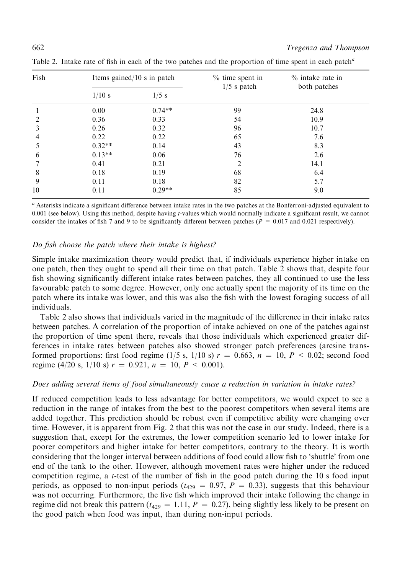| Fish          |          | Items gained/10 s in patch | $%$ time spent in | $\%$ intake rate in<br>both patches |  |
|---------------|----------|----------------------------|-------------------|-------------------------------------|--|
|               | $1/10$ s | $1/5$ s                    | $1/5$ s patch     |                                     |  |
|               | 0.00     | $0.74**$                   | 99                | 24.8                                |  |
| $\mathcal{L}$ | 0.36     | 0.33                       | 54                | 10.9                                |  |
| 3             | 0.26     | 0.32                       | 96                | 10.7                                |  |
| 4             | 0.22     | 0.22                       | 65                | 7.6                                 |  |
|               | $0.32**$ | 0.14                       | 43                | 8.3                                 |  |
| 6             | $0.13**$ | 0.06                       | 76                | 2.6                                 |  |
|               | 0.41     | 0.21                       | 2                 | 14.1                                |  |
| 8             | 0.18     | 0.19                       | 68                | 6.4                                 |  |
| 9             | 0.11     | 0.18                       | 82                | 5.7                                 |  |
| 10            | 0.11     | $0.29**$                   | 85                | 9.0                                 |  |

Table 2. Intake rate of fish in each of the two patches and the proportion of time spent in each patch<sup>a</sup>

<sup>a</sup> Asterisks indicate a significant difference between intake rates in the two patches at the Bonferroni-adjusted equivalent to 0.001 (see below). Using this method, despite having t-values which would normally indicate a significant result, we cannot consider the intakes of fish 7 and 9 to be significantly different between patches ( $P = 0.017$  and 0.021 respectively).

# Do fish choose the patch where their intake is highest?

Simple intake maximization theory would predict that, if individuals experience higher intake on one patch, then they ought to spend all their time on that patch. Table 2 shows that, despite four fish showing significantly different intake rates between patches, they all continued to use the less favourable patch to some degree. However, only one actually spent the majority of its time on the patch where its intake was lower, and this was also the fish with the lowest foraging success of all individuals.

Table 2 also shows that individuals varied in the magnitude of the difference in their intake rates between patches. A correlation of the proportion of intake achieved on one of the patches against the proportion of time spent there, reveals that those individuals which experienced greater differences in intake rates between patches also showed stronger patch preferences (arcsine transformed proportions: first food regime (1/5 s, 1/10 s)  $r = 0.663$ ,  $n = 10$ ,  $P < 0.02$ ; second food regime (4/20 s, 1/10 s)  $r = 0.921$ ,  $n = 10$ ,  $P < 0.001$ ).

## Does adding several items of food simultaneously cause a reduction in variation in intake rates?

If reduced competition leads to less advantage for better competitors, we would expect to see a reduction in the range of intakes from the best to the poorest competitors when several items are added together. This prediction should be robust even if competitive ability were changing over time. However, it is apparent from Fig. 2 that this was not the case in our study. Indeed, there is a suggestion that, except for the extremes, the lower competition scenario led to lower intake for poorer competitors and higher intake for better competitors, contrary to the theory. It is worth considering that the longer interval between additions of food could allow fish to 'shuttle' from one end of the tank to the other. However, although movement rates were higher under the reduced competition regime, a *t*-test of the number of fish in the good patch during the 10 s food input periods, as opposed to non-input periods ( $t_{429} = 0.97$ ,  $P = 0.33$ ), suggests that this behaviour was not occurring. Furthermore, the five fish which improved their intake following the change in regime did not break this pattern ( $t_{429} = 1.11$ ,  $P = 0.27$ ), being slightly less likely to be present on the good patch when food was input, than during non-input periods.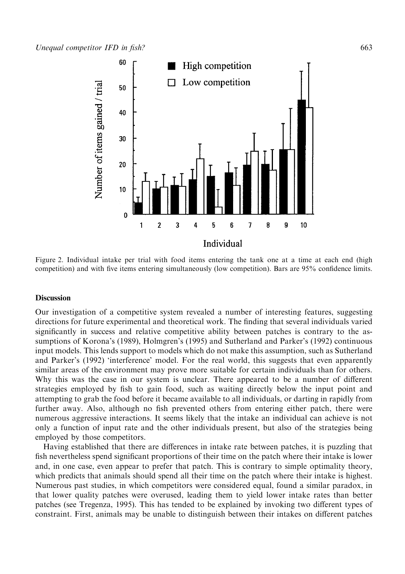

Figure 2. Individual intake per trial with food items entering the tank one at a time at each end (high competition) and with five items entering simultaneously (low competition). Bars are 95% confidence limits.

#### **Discussion**

Our investigation of a competitive system revealed a number of interesting features, suggesting directions for future experimental and theoretical work. The finding that several individuals varied significantly in success and relative competitive ability between patches is contrary to the assumptions of Korona's (1989), Holmgren's (1995) and Sutherland and Parker's (1992) continuous input models. This lends support to models which do not make this assumption, such as Sutherland and Parker's (1992) 'interference' model. For the real world, this suggests that even apparently similar areas of the environment may prove more suitable for certain individuals than for others. Why this was the case in our system is unclear. There appeared to be a number of different strategies employed by fish to gain food, such as waiting directly below the input point and attempting to grab the food before it became available to all individuals, or darting in rapidly from further away. Also, although no fish prevented others from entering either patch, there were numerous aggressive interactions. It seems likely that the intake an individual can achieve is not only a function of input rate and the other individuals present, but also of the strategies being employed by those competitors.

Having established that there are differences in intake rate between patches, it is puzzling that fish nevertheless spend significant proportions of their time on the patch where their intake is lower and, in one case, even appear to prefer that patch. This is contrary to simple optimality theory, which predicts that animals should spend all their time on the patch where their intake is highest. Numerous past studies, in which competitors were considered equal, found a similar paradox, in that lower quality patches were overused, leading them to yield lower intake rates than better patches (see Tregenza, 1995). This has tended to be explained by invoking two different types of constraint. First, animals may be unable to distinguish between their intakes on different patches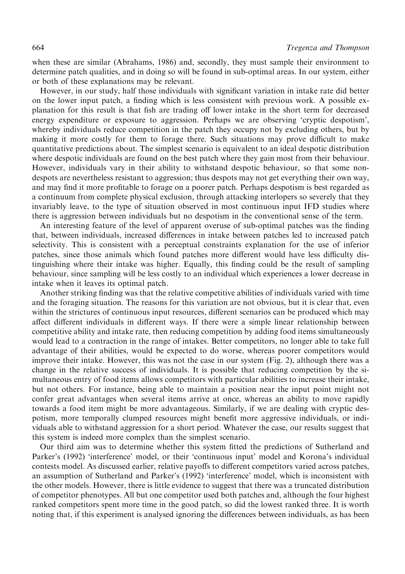when these are similar (Abrahams, 1986) and, secondly, they must sample their environment to determine patch qualities, and in doing so will be found in sub-optimal areas. In our system, either or both of these explanations may be relevant.

However, in our study, half those individuals with significant variation in intake rate did better on the lower input patch, a finding which is less consistent with previous work. A possible explanation for this result is that fish are trading off lower intake in the short term for decreased energy expenditure or exposure to aggression. Perhaps we are observing `cryptic despotism', whereby individuals reduce competition in the patch they occupy not by excluding others, but by making it more costly for them to forage there. Such situations may prove difficult to make quantitative predictions about. The simplest scenario is equivalent to an ideal despotic distribution where despotic individuals are found on the best patch where they gain most from their behaviour. However, individuals vary in their ability to withstand despotic behaviour, so that some nondespots are nevertheless resistant to aggression; thus despots may not get everything their own way, and may find it more profitable to forage on a poorer patch. Perhaps despotism is best regarded as a continuum from complete physical exclusion, through attacking interlopers so severely that they invariably leave, to the type of situation observed in most continuous input IFD studies where there is aggression between individuals but no despotism in the conventional sense of the term.

An interesting feature of the level of apparent overuse of sub-optimal patches was the finding that, between individuals, increased differences in intake between patches led to increased patch selectivity. This is consistent with a perceptual constraints explanation for the use of inferior patches, since those animals which found patches more different would have less difficulty distinguishing where their intake was higher. Equally, this finding could be the result of sampling behaviour, since sampling will be less costly to an individual which experiences a lower decrease in intake when it leaves its optimal patch.

Another striking finding was that the relative competitive abilities of individuals varied with time and the foraging situation. The reasons for this variation are not obvious, but it is clear that, even within the strictures of continuous input resources, different scenarios can be produced which may affect different individuals in different ways. If there were a simple linear relationship between competitive ability and intake rate, then reducing competition by adding food items simultaneously would lead to a contraction in the range of intakes. Better competitors, no longer able to take full advantage of their abilities, would be expected to do worse, whereas poorer competitors would improve their intake. However, this was not the case in our system (Fig. 2), although there was a change in the relative success of individuals. It is possible that reducing competition by the simultaneous entry of food items allows competitors with particular abilities to increase their intake, but not others. For instance, being able to maintain a position near the input point might not confer great advantages when several items arrive at once, whereas an ability to move rapidly towards a food item might be more advantageous. Similarly, if we are dealing with cryptic despotism, more temporally clumped resources might benefit more aggressive individuals, or individuals able to withstand aggression for a short period. Whatever the case, our results suggest that this system is indeed more complex than the simplest scenario.

Our third aim was to determine whether this system fitted the predictions of Sutherland and Parker's (1992) 'interference' model, or their 'continuous input' model and Korona's individual contests model. As discussed earlier, relative payoffs to different competitors varied across patches, an assumption of Sutherland and Parker's (1992) 'interference' model, which is inconsistent with the other models. However, there is little evidence to suggest that there was a truncated distribution of competitor phenotypes. All but one competitor used both patches and, although the four highest ranked competitors spent more time in the good patch, so did the lowest ranked three. It is worth noting that, if this experiment is analysed ignoring the differences between individuals, as has been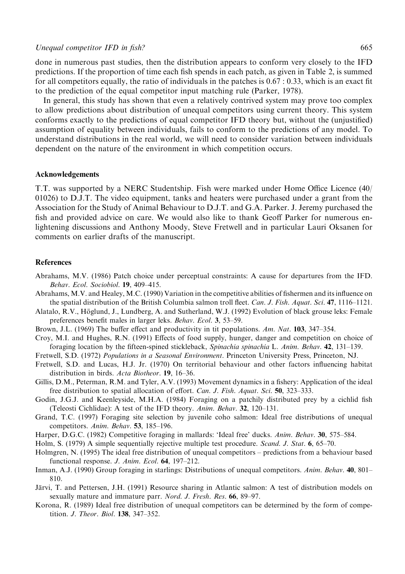done in numerous past studies, then the distribution appears to conform very closely to the IFD predictions. If the proportion of time each fish spends in each patch, as given in Table 2, is summed for all competitors equally, the ratio of individuals in the patches is  $0.67 : 0.33$ , which is an exact fit to the prediction of the equal competitor input matching rule (Parker, 1978).

In general, this study has shown that even a relatively contrived system may prove too complex to allow predictions about distribution of unequal competitors using current theory. This system conforms exactly to the predictions of equal competitor IFD theory but, without the (unjustified) assumption of equality between individuals, fails to conform to the predictions of any model. To understand distributions in the real world, we will need to consider variation between individuals dependent on the nature of the environment in which competition occurs.

### Acknowledgements

T.T. was supported by a NERC Studentship. Fish were marked under Home Office Licence (40/ 01026) to D.J.T. The video equipment, tanks and heaters were purchased under a grant from the Association for the Study of Animal Behaviour to D.J.T. and G.A. Parker. J. Jeremy purchased the fish and provided advice on care. We would also like to thank Geoff Parker for numerous enlightening discussions and Anthony Moody, Steve Fretwell and in particular Lauri Oksanen for comments on earlier drafts of the manuscript.

## References

- Abrahams, M.V. (1986) Patch choice under perceptual constraints: A cause for departures from the IFD. Behav. Ecol. Sociobiol. 19, 409-415.
- Abrahams, M.V. and Healey, M.C. (1990) Variation in the competitive abilities of fishermen and its influence on the spatial distribution of the British Columbia salmon troll fleet. Can. J. Fish. Aquat. Sci. 47, 1116-1121.
- Alatalo, R.V., Höglund, J., Lundberg, A. and Sutherland, W.J. (1992) Evolution of black grouse leks: Female preferences benefit males in larger leks. Behav. Ecol. 3, 53-59.
- Brown, J.L. (1969) The buffer effect and productivity in tit populations. Am. Nat.  $103$ , 347–354.
- Croy, M.I. and Hughes, R.N. (1991) Effects of food supply, hunger, danger and competition on choice of foraging location by the fifteen-spined stickleback, Spinachia spinachia L. Anim. Behav. 42, 131–139.
- Fretwell, S.D. (1972) Populations in a Seasonal Environment. Princeton University Press, Princeton, NJ.
- Fretwell, S.D. and Lucas, H.J. Jr. (1970) On territorial behaviour and other factors influencing habitat distribution in birds. Acta Biotheor. 19, 16-36.
- Gillis, D.M., Peterman, R.M. and Tyler, A.V. (1993) Movement dynamics in a fishery: Application of the ideal free distribution to spatial allocation of effort. Can. J. Fish. Aquat. Sci. 50, 323–333.
- Godin, J.G.J. and Keenleyside, M.H.A. (1984) Foraging on a patchily distributed prey by a cichlid fish (Teleosti Cichlidae): A test of the IFD theory. Anim. Behav. 32, 120-131.
- Grand, T.C. (1997) Foraging site selection by juvenile coho salmon: Ideal free distributions of unequal competitors. Anim. Behav. 53, 185-196.
- Harper, D.G.C. (1982) Competitive foraging in mallards: 'Ideal free' ducks. Anim. Behav. 30, 575-584.
- Holm, S. (1979) A simple sequentially rejective multiple test procedure. *Scand. J. Stat.* 6, 65–70.
- Holmgren, N. (1995) The ideal free distribution of unequal competitors predictions from a behaviour based functional response. *J. Anim. Ecol.*  $64$ , 197-212.
- Inman, A.J. (1990) Group foraging in starlings: Distributions of unequal competitors. Anim. Behav. 40, 801– 810.
- Järvi, T. and Pettersen, J.H. (1991) Resource sharing in Atlantic salmon: A test of distribution models on sexually mature and immature parr. Nord. J. Fresh. Res. 66, 89-97.
- Korona, R. (1989) Ideal free distribution of unequal competitors can be determined by the form of competition. *J. Theor. Biol.* **138**, 347-352.